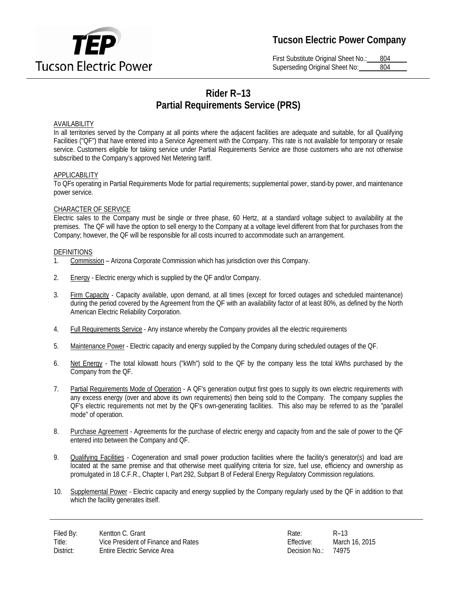

# **Tucson Electric Power Company**

First Substitute Original Sheet No.: 804 Superseding Original Sheet No: 804

# **Rider R–13 Partial Requirements Service (PRS)**

## AVAILABILITY

In all territories served by the Company at all points where the adjacent facilities are adequate and suitable, for all Qualifying Facilities ("QF") that have entered into a Service Agreement with the Company. This rate is not available for temporary or resale service. Customers eligible for taking service under Partial Requirements Service are those customers who are not otherwise subscribed to the Company's approved Net Metering tariff.

## APPLICABILITY

To QFs operating in Partial Requirements Mode for partial requirements; supplemental power, stand-by power, and maintenance power service.

## CHARACTER OF SERVICE

Electric sales to the Company must be single or three phase, 60 Hertz, at a standard voltage subject to availability at the premises. The QF will have the option to sell energy to the Company at a voltage level different from that for purchases from the Company; however, the QF will be responsible for all costs incurred to accommodate such an arrangement.

## DEFINITIONS

- 1. Commission Arizona Corporate Commission which has jurisdiction over this Company.
- 2. Energy Electric energy which is supplied by the QF and/or Company.
- 3. Firm Capacity Capacity available, upon demand, at all times (except for forced outages and scheduled maintenance) during the period covered by the Agreement from the QF with an availability factor of at least 80%, as defined by the North American Electric Reliability Corporation.
- 4. Full Requirements Service Any instance whereby the Company provides all the electric requirements
- 5. Maintenance Power Electric capacity and energy supplied by the Company during scheduled outages of the QF.
- 6. Net Energy The total kilowatt hours ("kWh") sold to the QF by the company less the total kWhs purchased by the Company from the QF.
- 7. Partial Requirements Mode of Operation A QF's generation output first goes to supply its own electric requirements with any excess energy (over and above its own requirements) then being sold to the Company. The company supplies the QF's electric requirements not met by the QF's own-generating facilities. This also may be referred to as the "parallel mode" of operation.
- 8. Purchase Agreement Agreements for the purchase of electric energy and capacity from and the sale of power to the QF entered into between the Company and QF.
- 9. Qualifying Facilities Cogeneration and small power production facilities where the facility's generator(s) and load are located at the same premise and that otherwise meet qualifying criteria for size, fuel use, efficiency and ownership as promulgated in 18 C.F.R., Chapter I, Part 292, Subpart B of Federal Energy Regulatory Commission regulations.
- 10. Supplemental Power Electric capacity and energy supplied by the Company regularly used by the QF in addition to that which the facility generates itself.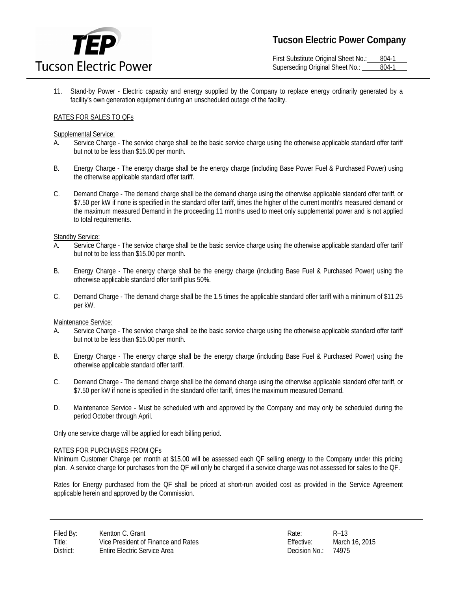

First Substitute Original Sheet No.: 804-1 Superseding Original Sheet No.: 804-1

11. Stand-by Power - Electric capacity and energy supplied by the Company to replace energy ordinarily generated by a facility's own generation equipment during an unscheduled outage of the facility.

## RATES FOR SALES TO QFs

#### Supplemental Service:

- A. Service Charge The service charge shall be the basic service charge using the otherwise applicable standard offer tariff but not to be less than \$15.00 per month.
- B. Energy Charge The energy charge shall be the energy charge (including Base Power Fuel & Purchased Power) using the otherwise applicable standard offer tariff.
- C. Demand Charge The demand charge shall be the demand charge using the otherwise applicable standard offer tariff, or \$7.50 per kW if none is specified in the standard offer tariff, times the higher of the current month's measured demand or the maximum measured Demand in the proceeding 11 months used to meet only supplemental power and is not applied to total requirements.

#### Standby Service:

- A. Service Charge The service charge shall be the basic service charge using the otherwise applicable standard offer tariff but not to be less than \$15.00 per month.
- B. Energy Charge The energy charge shall be the energy charge (including Base Fuel & Purchased Power) using the otherwise applicable standard offer tariff plus 50%.
- C. Demand Charge The demand charge shall be the 1.5 times the applicable standard offer tariff with a minimum of \$11.25 per kW.

## Maintenance Service:

- A. Service Charge The service charge shall be the basic service charge using the otherwise applicable standard offer tariff but not to be less than \$15.00 per month.
- B. Energy Charge The energy charge shall be the energy charge (including Base Fuel & Purchased Power) using the otherwise applicable standard offer tariff.
- C. Demand Charge The demand charge shall be the demand charge using the otherwise applicable standard offer tariff, or \$7.50 per kW if none is specified in the standard offer tariff, times the maximum measured Demand.
- D. Maintenance Service Must be scheduled with and approved by the Company and may only be scheduled during the period October through April.

Only one service charge will be applied for each billing period.

#### RATES FOR PURCHASES FROM QFs

Minimum Customer Charge per month at \$15.00 will be assessed each QF selling energy to the Company under this pricing plan. A service charge for purchases from the QF will only be charged if a service charge was not assessed for sales to the QF.

Rates for Energy purchased from the QF shall be priced at short-run avoided cost as provided in the Service Agreement applicable herein and approved by the Commission.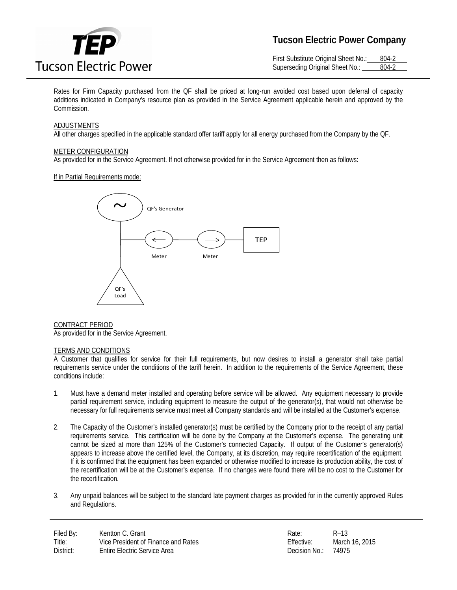

# **Tucson Electric Power Company**

First Substitute Original Sheet No.: 804-2 Superseding Original Sheet No.: 804-2

Rates for Firm Capacity purchased from the QF shall be priced at long-run avoided cost based upon deferral of capacity additions indicated in Company's resource plan as provided in the Service Agreement applicable herein and approved by the Commission.

## ADJUSTMENTS

All other charges specified in the applicable standard offer tariff apply for all energy purchased from the Company by the QF.

#### METER CONFIGURATION

As provided for in the Service Agreement. If not otherwise provided for in the Service Agreement then as follows:

#### If in Partial Requirements mode:



CONTRACT PERIOD As provided for in the Service Agreement.

## TERMS AND CONDITIONS

A Customer that qualifies for service for their full requirements, but now desires to install a generator shall take partial requirements service under the conditions of the tariff herein. In addition to the requirements of the Service Agreement, these conditions include:

- 1. Must have a demand meter installed and operating before service will be allowed. Any equipment necessary to provide partial requirement service, including equipment to measure the output of the generator(s), that would not otherwise be necessary for full requirements service must meet all Company standards and will be installed at the Customer's expense.
- 2. The Capacity of the Customer's installed generator(s) must be certified by the Company prior to the receipt of any partial requirements service. This certification will be done by the Company at the Customer's expense. The generating unit cannot be sized at more than 125% of the Customer's connected Capacity. If output of the Customer's generator(s) appears to increase above the certified level, the Company, at its discretion, may require recertification of the equipment. If it is confirmed that the equipment has been expanded or otherwise modified to increase its production ability, the cost of the recertification will be at the Customer's expense. If no changes were found there will be no cost to the Customer for the recertification.
- 3. Any unpaid balances will be subject to the standard late payment charges as provided for in the currently approved Rules and Regulations.